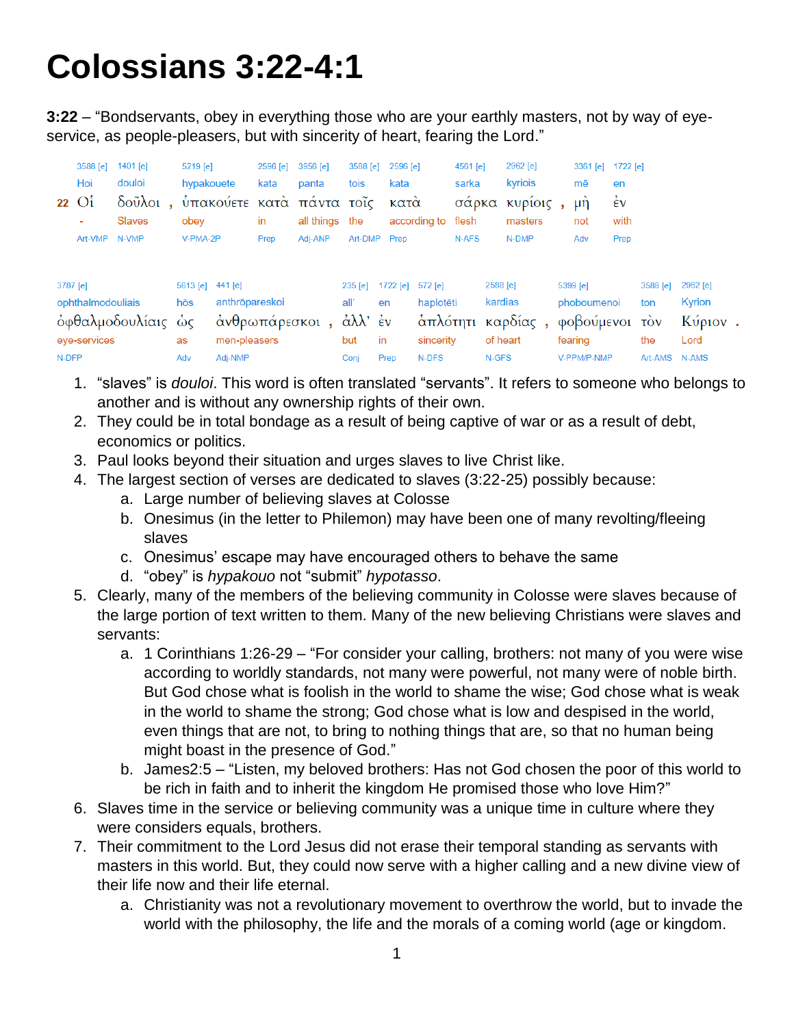## **Colossians 3:22-4:1**

**3:22** – "Bondservants, obey in everything those who are your earthly masters, not by way of eyeservice, as people-pleasers, but with sincerity of heart, fearing the Lord."

|                                                                              | 3588 [e]<br>Hoi<br>$22 \text{ O}$ i<br>٠<br>Art-VMP | 1401 [e]<br>douloi<br>$\delta$ oũ $\lambda$ oi,<br><b>Slaves</b><br>N-VMP | 5219 [e]<br>hypakouete<br>obey<br>V-PMA-2P |  | 2596 [e]<br>kata<br>in<br>Prep | 3956 [e]<br>panta<br>υπακούετε κατά πάντα τοΐς<br>all things the<br>Adi-ANP | 3588 [e]<br>tois                       | 2596 [e]<br>kata<br>κατα<br>Art-DMP Prep | according to | 4561 [e]<br>sarka<br>σάρκα<br>flesh<br>N-AFS                  | 2962 [e]<br>kyriois<br>κυρίοις<br>masters<br>N-DMP                  | $3361$ [e]<br>mē<br>$\mu$ n<br>not<br>Adv | 1722 [e]<br>en<br>έv<br>with<br>Prep    |                                       |  |  |
|------------------------------------------------------------------------------|-----------------------------------------------------|---------------------------------------------------------------------------|--------------------------------------------|--|--------------------------------|-----------------------------------------------------------------------------|----------------------------------------|------------------------------------------|--------------|---------------------------------------------------------------|---------------------------------------------------------------------|-------------------------------------------|-----------------------------------------|---------------------------------------|--|--|
| 3787 [e]<br>ophthalmodouliais<br>όφθαλμοδουλίαις ώς<br>eye-services<br>N-DFP |                                                     | 5613 [e] 441 [e]<br>hōs<br>as<br>Adv                                      | anthrōpareskoi<br>men-pleasers<br>Adj-NMP  |  | άνθρωπάρεσκοι,                 | 235 [e]<br>all'<br>άλλ' έν<br>but<br>Conj                                   | 1722 [e] $572$ [e]<br>en<br>in<br>Prep | haplotēti<br>sincerity<br>N-DFS          |              | 2588 [e]<br>kardias<br>άπλότητι καρδίας,<br>of heart<br>N-GFS | 5399 [e]<br>phoboumenoi<br>φοβούμενοι τον<br>fearing<br>V-PPM/P-NMP |                                           | 3588 [e]<br>ton<br>the<br>Art-AMS N-AMS | 2962 [e]<br>Kyrion<br>Κύριον.<br>Lord |  |  |

- 1. "slaves" is *douloi*. This word is often translated "servants". It refers to someone who belongs to another and is without any ownership rights of their own.
- 2. They could be in total bondage as a result of being captive of war or as a result of debt, economics or politics.
- 3. Paul looks beyond their situation and urges slaves to live Christ like.
- 4. The largest section of verses are dedicated to slaves (3:22-25) possibly because:
	- a. Large number of believing slaves at Colosse
	- b. Onesimus (in the letter to Philemon) may have been one of many revolting/fleeing slaves
	- c. Onesimus' escape may have encouraged others to behave the same
	- d. "obey" is *hypakouo* not "submit" *hypotasso*.
- 5. Clearly, many of the members of the believing community in Colosse were slaves because of the large portion of text written to them. Many of the new believing Christians were slaves and servants:
	- a. 1 Corinthians 1:26-29 "For consider your calling, brothers: not many of you were wise according to worldly standards, not many were powerful, not many were of noble birth. But God chose what is foolish in the world to shame the wise; God chose what is weak in the world to shame the strong; God chose what is low and despised in the world, even things that are not, to bring to nothing things that are, so that no human being might boast in the presence of God."
	- b. James2:5 "Listen, my beloved brothers: Has not God chosen the poor of this world to be rich in faith and to inherit the kingdom He promised those who love Him?"
- 6. Slaves time in the service or believing community was a unique time in culture where they were considers equals, brothers.
- 7. Their commitment to the Lord Jesus did not erase their temporal standing as servants with masters in this world. But, they could now serve with a higher calling and a new divine view of their life now and their life eternal.
	- a. Christianity was not a revolutionary movement to overthrow the world, but to invade the world with the philosophy, the life and the morals of a coming world (age or kingdom.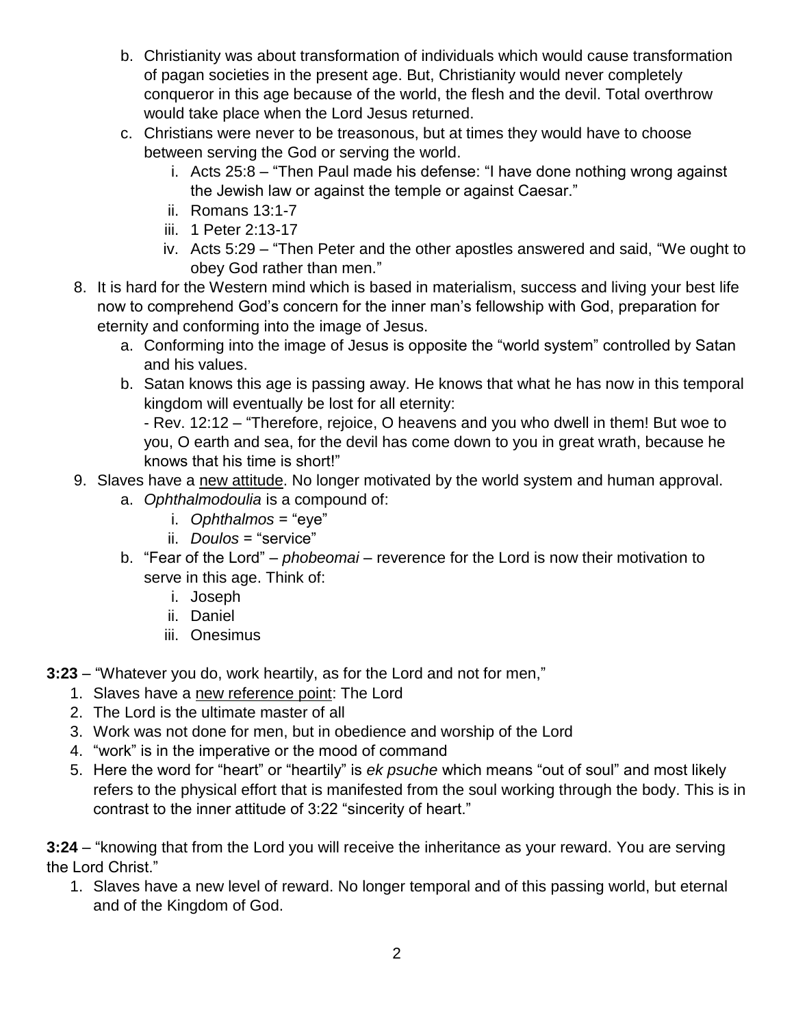- b. Christianity was about transformation of individuals which would cause transformation of pagan societies in the present age. But, Christianity would never completely conqueror in this age because of the world, the flesh and the devil. Total overthrow would take place when the Lord Jesus returned.
- c. Christians were never to be treasonous, but at times they would have to choose between serving the God or serving the world.
	- i. Acts 25:8 "Then Paul made his defense: "I have done nothing wrong against the Jewish law or against the temple or against Caesar."
	- ii. Romans 13:1-7
	- iii. 1 Peter 2:13-17
	- iv. Acts 5:29 "Then Peter and the other apostles answered and said, "We ought to obey God rather than men."
- 8. It is hard for the Western mind which is based in materialism, success and living your best life now to comprehend God's concern for the inner man's fellowship with God, preparation for eternity and conforming into the image of Jesus.
	- a. Conforming into the image of Jesus is opposite the "world system" controlled by Satan and his values.
	- b. Satan knows this age is passing away. He knows that what he has now in this temporal kingdom will eventually be lost for all eternity:

- Rev. 12:12 – "Therefore, rejoice, O heavens and you who dwell in them! But woe to you, O earth and sea, for the devil has come down to you in great wrath, because he knows that his time is short!"

- 9. Slaves have a new attitude. No longer motivated by the world system and human approval.
	- a. *Ophthalmodoulia* is a compound of:
		- i. *Ophthalmos* = "eye"
		- ii. *Doulos* = "service"
	- b. "Fear of the Lord" *phobeomai* reverence for the Lord is now their motivation to serve in this age. Think of:
		- i. Joseph
		- ii. Daniel
		- iii. Onesimus
- **3:23** "Whatever you do, work heartily, as for the Lord and not for men,"
	- 1. Slaves have a new reference point: The Lord
	- 2. The Lord is the ultimate master of all
	- 3. Work was not done for men, but in obedience and worship of the Lord
	- 4. "work" is in the imperative or the mood of command
	- 5. Here the word for "heart" or "heartily" is *ek psuche* which means "out of soul" and most likely refers to the physical effort that is manifested from the soul working through the body. This is in contrast to the inner attitude of 3:22 "sincerity of heart."

**3:24** – "knowing that from the Lord you will receive the inheritance as your reward. You are serving the Lord Christ."

1. Slaves have a new level of reward. No longer temporal and of this passing world, but eternal and of the Kingdom of God.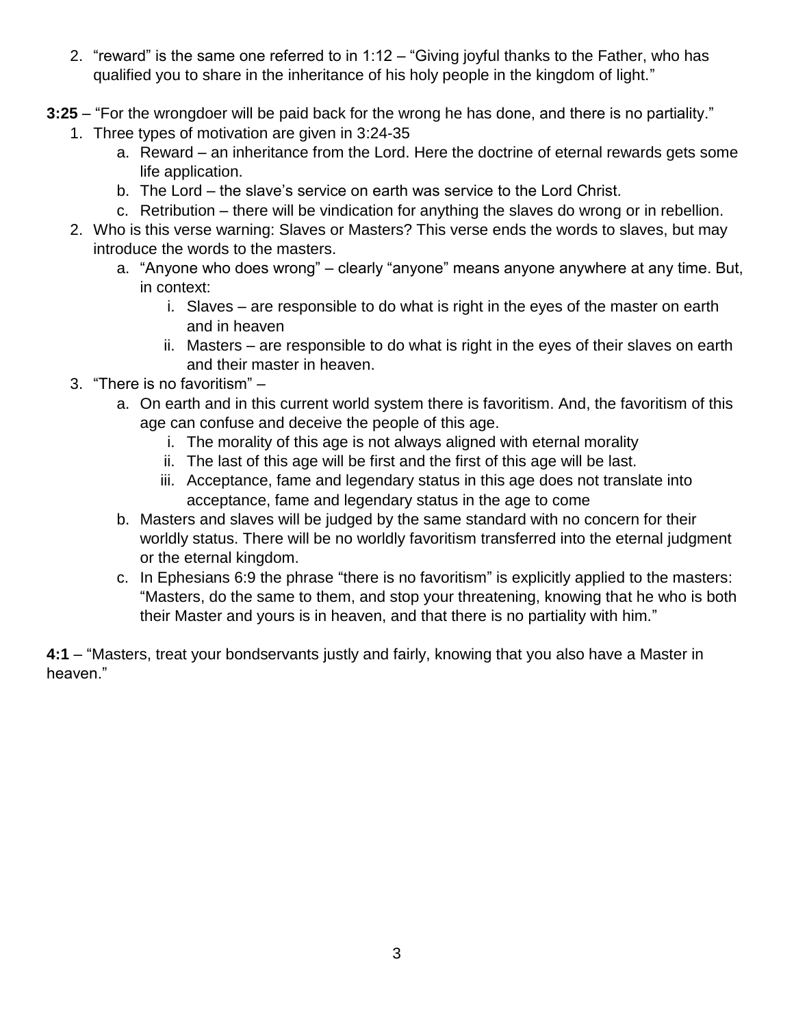- 2. "reward" is the same one referred to in 1:12 "Giving joyful thanks to the Father, who has qualified you to share in the inheritance of his holy people in the kingdom of light."
- **3:25** "For the wrongdoer will be paid back for the wrong he has done, and there is no partiality."
	- 1. Three types of motivation are given in 3:24-35
		- a. Reward an inheritance from the Lord. Here the doctrine of eternal rewards gets some life application.
		- b. The Lord the slave's service on earth was service to the Lord Christ.
		- c. Retribution there will be vindication for anything the slaves do wrong or in rebellion.
	- 2. Who is this verse warning: Slaves or Masters? This verse ends the words to slaves, but may introduce the words to the masters.
		- a. "Anyone who does wrong" clearly "anyone" means anyone anywhere at any time. But, in context:
			- i. Slaves are responsible to do what is right in the eyes of the master on earth and in heaven
			- ii. Masters are responsible to do what is right in the eyes of their slaves on earth and their master in heaven.
	- 3. "There is no favoritism"
		- a. On earth and in this current world system there is favoritism. And, the favoritism of this age can confuse and deceive the people of this age.
			- i. The morality of this age is not always aligned with eternal morality
			- ii. The last of this age will be first and the first of this age will be last.
			- iii. Acceptance, fame and legendary status in this age does not translate into acceptance, fame and legendary status in the age to come
		- b. Masters and slaves will be judged by the same standard with no concern for their worldly status. There will be no worldly favoritism transferred into the eternal judgment or the eternal kingdom.
		- c. In Ephesians 6:9 the phrase "there is no favoritism" is explicitly applied to the masters: "Masters, do the same to them, and stop your threatening, knowing that he who is both their Master and yours is in heaven, and that there is no partiality with him."

**4:1** – "Masters, treat your bondservants justly and fairly, knowing that you also have a Master in heaven."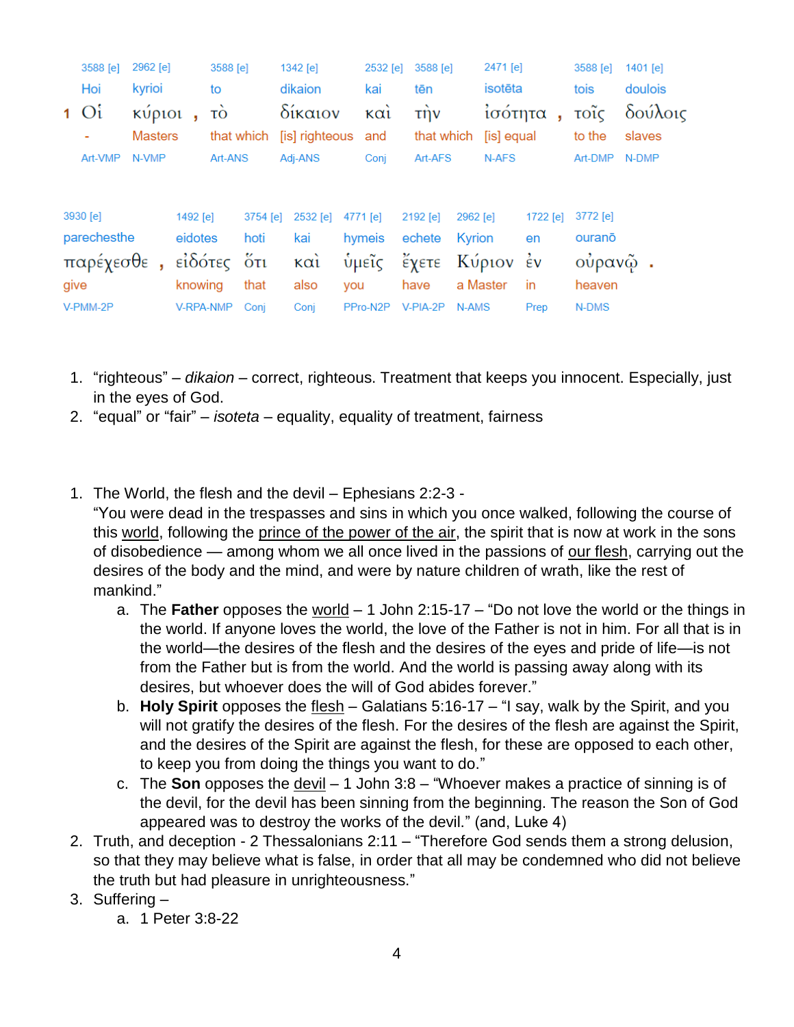|         | 3588 [e]    | 2962 [e]                  |  |           | 3588 [e]         |             |                           | $1342$ [e] |     | 2532 [e]                 |  | 3588 [e]          |          | 2471 [e]                    |          | 3588 [e]       | 1401 [e]          |  |
|---------|-------------|---------------------------|--|-----------|------------------|-------------|---------------------------|------------|-----|--------------------------|--|-------------------|----------|-----------------------------|----------|----------------|-------------------|--|
|         | Hoi         | kyrioi                    |  |           | to               |             | dikaion                   |            |     | kai                      |  | tēn               |          | isotēta                     |          | tois           | doulois           |  |
|         | $1 \Omega$  | κύριοι,<br><b>Masters</b> |  |           | τò<br>that which |             | δίκαιον<br>[is] righteous |            |     | $\kappa$ $\alpha$<br>and |  | τήν<br>that which |          | ισότητα<br>ŋ.<br>[is] equal |          | τοΐς<br>to the | δούλοις<br>slaves |  |
| Art-VMP |             | N-VMP                     |  |           | Art-ANS          |             | Adj-ANS                   |            |     | Conj                     |  | Art-AFS           |          | N-AFS                       |          | Art-DMP        | N-DMP             |  |
|         |             |                           |  |           |                  |             |                           |            |     |                          |  |                   |          |                             |          |                |                   |  |
|         | 3930 [e]    |                           |  | 1492 [e]  |                  | 3754 [e]    |                           | 2532 [e]   |     | 4771 [e]                 |  | 2192 [e]          | 2962 [e] |                             | 1722 [e] | 3772 [e]       |                   |  |
|         | parechesthe |                           |  | eidotes   |                  | hoti        |                           | kai        |     | hymeis                   |  | echete            | Kyrion   |                             | en       | ourano         |                   |  |
|         | παρέχεσθε,  |                           |  |           |                  | εἰδότες ὅτι |                           | καὶ        |     | ὑμεῖς                    |  | έχετε             |          | Κύριον έν                   |          | ούρανῷ.        |                   |  |
| give    |             |                           |  | knowing   |                  | that        |                           | also       | you |                          |  | have              |          | a Master                    | in       | heaven         |                   |  |
|         | V-PMM-2P    |                           |  | V-RPA-NMP |                  | Conj        |                           | Conj       |     | PPro-N2P                 |  | V-PIA-2P          | N-AMS    |                             | Prep     | N-DMS          |                   |  |

- 1. "righteous" *dikaion* correct, righteous. Treatment that keeps you innocent. Especially, just in the eyes of God.
- 2. "equal" or "fair" *isoteta* equality, equality of treatment, fairness
- 1. The World, the flesh and the devil Ephesians 2:2-3 -

"You were dead in the trespasses and sins in which you once walked, following the course of this world, following the prince of the power of the air, the spirit that is now at work in the sons of disobedience — among whom we all once lived in the passions of our flesh, carrying out the desires of the body and the mind, and were by nature children of wrath, like the rest of mankind."

- a. The **Father** opposes the world 1 John 2:15-17 "Do not love the world or the things in the world. If anyone loves the world, the love of the Father is not in him. For all that is in the world—the desires of the flesh and the desires of the eyes and pride of life—is not from the Father but is from the world. And the world is passing away along with its desires, but whoever does the will of God abides forever."
- b. **Holy Spirit** opposes the flesh Galatians 5:16-17 "I say, walk by the Spirit, and you will not gratify the desires of the flesh. For the desires of the flesh are against the Spirit, and the desires of the Spirit are against the flesh, for these are opposed to each other, to keep you from doing the things you want to do."
- c. The **Son** opposes the devil 1 John 3:8 "Whoever makes a practice of sinning is of the devil, for the devil has been sinning from the beginning. The reason the Son of God appeared was to destroy the works of the devil." (and, Luke 4)
- 2. Truth, and deception 2 Thessalonians 2:11 "Therefore God sends them a strong delusion, so that they may believe what is false, in order that all may be condemned who did not believe the truth but had pleasure in unrighteousness."
- 3. Suffering
	- a. 1 Peter 3:8-22